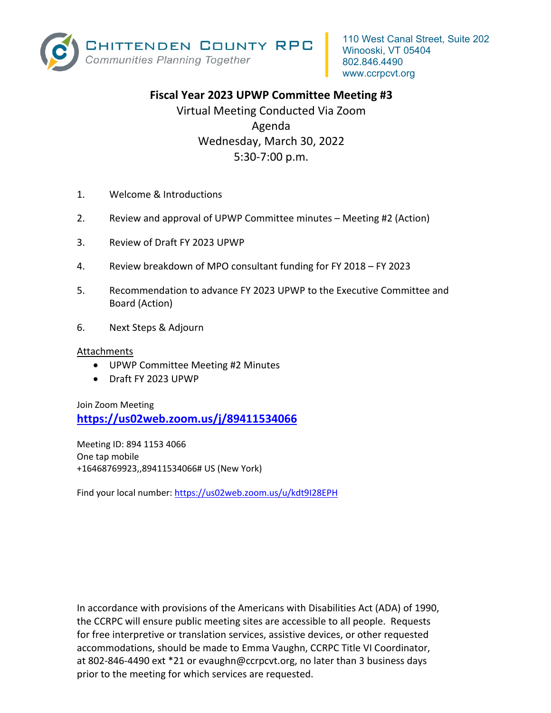

## **Fiscal Year 2023 UPWP Committee Meeting #3**

Virtual Meeting Conducted Via Zoom Agenda Wednesday, March 30, 2022 5:30‐7:00 p.m.

- 1. Welcome & Introductions
- 2. Review and approval of UPWP Committee minutes Meeting #2 (Action)
- 3. Review of Draft FY 2023 UPWP
- 4. Review breakdown of MPO consultant funding for FY 2018 FY 2023
- 5. Recommendation to advance FY 2023 UPWP to the Executive Committee and Board (Action)
- 6. Next Steps & Adjourn

### Attachments

- UPWP Committee Meeting #2 Minutes
- Draft FY 2023 UPWP

Join Zoom Meeting **https://us02web.zoom.us/j/89411534066** 

Meeting ID: 894 1153 4066 One tap mobile +16468769923,,89411534066# US (New York)

Find your local number: https://us02web.zoom.us/u/kdt9I28EPH

In accordance with provisions of the Americans with Disabilities Act (ADA) of 1990, the CCRPC will ensure public meeting sites are accessible to all people. Requests for free interpretive or translation services, assistive devices, or other requested accommodations, should be made to Emma Vaughn, CCRPC Title VI Coordinator, at 802‐846‐4490 ext \*21 or evaughn@ccrpcvt.org, no later than 3 business days prior to the meeting for which services are requested.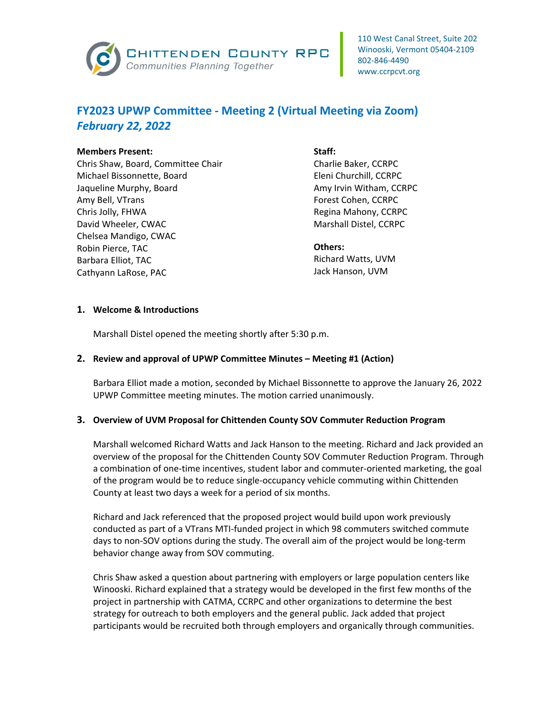

# **FY2023 UPWP Committee ‐ Meeting 2 (Virtual Meeting via Zoom)**  *February 22, 2022*

#### **Members Present:**

Chris Shaw, Board, Committee Chair Michael Bissonnette, Board Jaqueline Murphy, Board Amy Bell, VTrans Chris Jolly, FHWA David Wheeler, CWAC Chelsea Mandigo, CWAC Robin Pierce, TAC Barbara Elliot, TAC Cathyann LaRose, PAC

#### **Staff:**

Charlie Baker, CCRPC Eleni Churchill, CCRPC Amy Irvin Witham, CCRPC Forest Cohen, CCRPC Regina Mahony, CCRPC Marshall Distel, CCRPC

#### **Others:**

Richard Watts, UVM Jack Hanson, UVM

## **1. Welcome & Introductions**

Marshall Distel opened the meeting shortly after 5:30 p.m.

## **2. Review and approval of UPWP Committee Minutes – Meeting #1 (Action)**

Barbara Elliot made a motion, seconded by Michael Bissonnette to approve the January 26, 2022 UPWP Committee meeting minutes. The motion carried unanimously.

#### **3. Overview of UVM Proposal for Chittenden County SOV Commuter Reduction Program**

Marshall welcomed Richard Watts and Jack Hanson to the meeting. Richard and Jack provided an overview of the proposal for the Chittenden County SOV Commuter Reduction Program. Through a combination of one-time incentives, student labor and commuter-oriented marketing, the goal of the program would be to reduce single‐occupancy vehicle commuting within Chittenden County at least two days a week for a period of six months.

Richard and Jack referenced that the proposed project would build upon work previously conducted as part of a VTrans MTI‐funded project in which 98 commuters switched commute days to non‐SOV options during the study. The overall aim of the project would be long‐term behavior change away from SOV commuting.

Chris Shaw asked a question about partnering with employers or large population centers like Winooski. Richard explained that a strategy would be developed in the first few months of the project in partnership with CATMA, CCRPC and other organizations to determine the best strategy for outreach to both employers and the general public. Jack added that project participants would be recruited both through employers and organically through communities.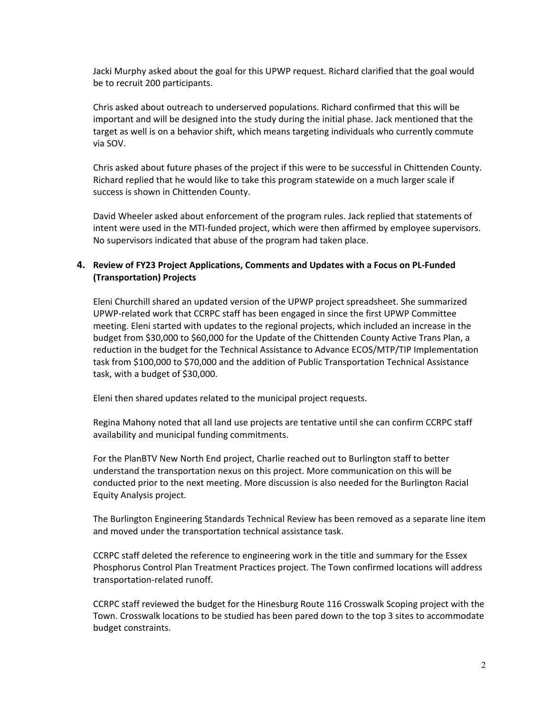Jacki Murphy asked about the goal for this UPWP request. Richard clarified that the goal would be to recruit 200 participants.

Chris asked about outreach to underserved populations. Richard confirmed that this will be important and will be designed into the study during the initial phase. Jack mentioned that the target as well is on a behavior shift, which means targeting individuals who currently commute via SOV.

Chris asked about future phases of the project if this were to be successful in Chittenden County. Richard replied that he would like to take this program statewide on a much larger scale if success is shown in Chittenden County.

David Wheeler asked about enforcement of the program rules. Jack replied that statements of intent were used in the MTI‐funded project, which were then affirmed by employee supervisors. No supervisors indicated that abuse of the program had taken place.

## **4. Review of FY23 Project Applications, Comments and Updates with a Focus on PL‐Funded (Transportation) Projects**

Eleni Churchill shared an updated version of the UPWP project spreadsheet. She summarized UPWP‐related work that CCRPC staff has been engaged in since the first UPWP Committee meeting. Eleni started with updates to the regional projects, which included an increase in the budget from \$30,000 to \$60,000 for the Update of the Chittenden County Active Trans Plan, a reduction in the budget for the Technical Assistance to Advance ECOS/MTP/TIP Implementation task from \$100,000 to \$70,000 and the addition of Public Transportation Technical Assistance task, with a budget of \$30,000.

Eleni then shared updates related to the municipal project requests.

Regina Mahony noted that all land use projects are tentative until she can confirm CCRPC staff availability and municipal funding commitments.

For the PlanBTV New North End project, Charlie reached out to Burlington staff to better understand the transportation nexus on this project. More communication on this will be conducted prior to the next meeting. More discussion is also needed for the Burlington Racial Equity Analysis project.

The Burlington Engineering Standards Technical Review has been removed as a separate line item and moved under the transportation technical assistance task.

CCRPC staff deleted the reference to engineering work in the title and summary for the Essex Phosphorus Control Plan Treatment Practices project. The Town confirmed locations will address transportation‐related runoff.

CCRPC staff reviewed the budget for the Hinesburg Route 116 Crosswalk Scoping project with the Town. Crosswalk locations to be studied has been pared down to the top 3 sites to accommodate budget constraints.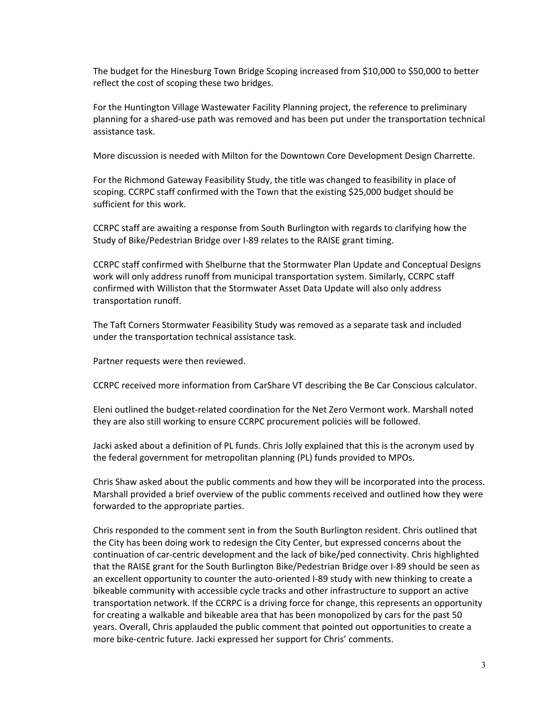The budget for the Hinesburg Town Bridge Scoping increased from \$10,000 to \$50,000 to better reflect the cost of scoping these two bridges.

For the Huntington Village Wastewater Facility Planning project, the reference to preliminary planning for a shared‐use path was removed and has been put under the transportation technical assistance task.

More discussion is needed with Milton for the Downtown Core Development Design Charrette.

For the Richmond Gateway Feasibility Study, the title was changed to feasibility in place of scoping. CCRPC staff confirmed with the Town that the existing \$25,000 budget should be sufficient for this work.

CCRPC staff are awaiting a response from South Burlington with regards to clarifying how the Study of Bike/Pedestrian Bridge over I‐89 relates to the RAISE grant timing.

CCRPC staff confirmed with Shelburne that the Stormwater Plan Update and Conceptual Designs work will only address runoff from municipal transportation system. Similarly, CCRPC staff confirmed with Williston that the Stormwater Asset Data Update will also only address transportation runoff.

The Taft Corners Stormwater Feasibility Study was removed as a separate task and included under the transportation technical assistance task.

Partner requests were then reviewed.

CCRPC received more information from CarShare VT describing the Be Car Conscious calculator.

Eleni outlined the budget-related coordination for the Net Zero Vermont work. Marshall noted they are also still working to ensure CCRPC procurement policies will be followed.

Jacki asked about a definition of PL funds. Chris Jolly explained that this is the acronym used by the federal government for metropolitan planning (PL) funds provided to MPOs.

Chris Shaw asked about the public comments and how they will be incorporated into the process. Marshall provided a brief overview of the public comments received and outlined how they were forwarded to the appropriate parties.

Chris responded to the comment sent in from the South Burlington resident. Chris outlined that the City has been doing work to redesign the City Center, but expressed concerns about the continuation of car‐centric development and the lack of bike/ped connectivity. Chris highlighted that the RAISE grant for the South Burlington Bike/Pedestrian Bridge over I‐89 should be seen as an excellent opportunity to counter the auto-oriented I-89 study with new thinking to create a bikeable community with accessible cycle tracks and other infrastructure to support an active transportation network. If the CCRPC is a driving force for change, this represents an opportunity for creating a walkable and bikeable area that has been monopolized by cars for the past 50 years. Overall, Chris applauded the public comment that pointed out opportunities to create a more bike‐centric future. Jacki expressed her support for Chris' comments.